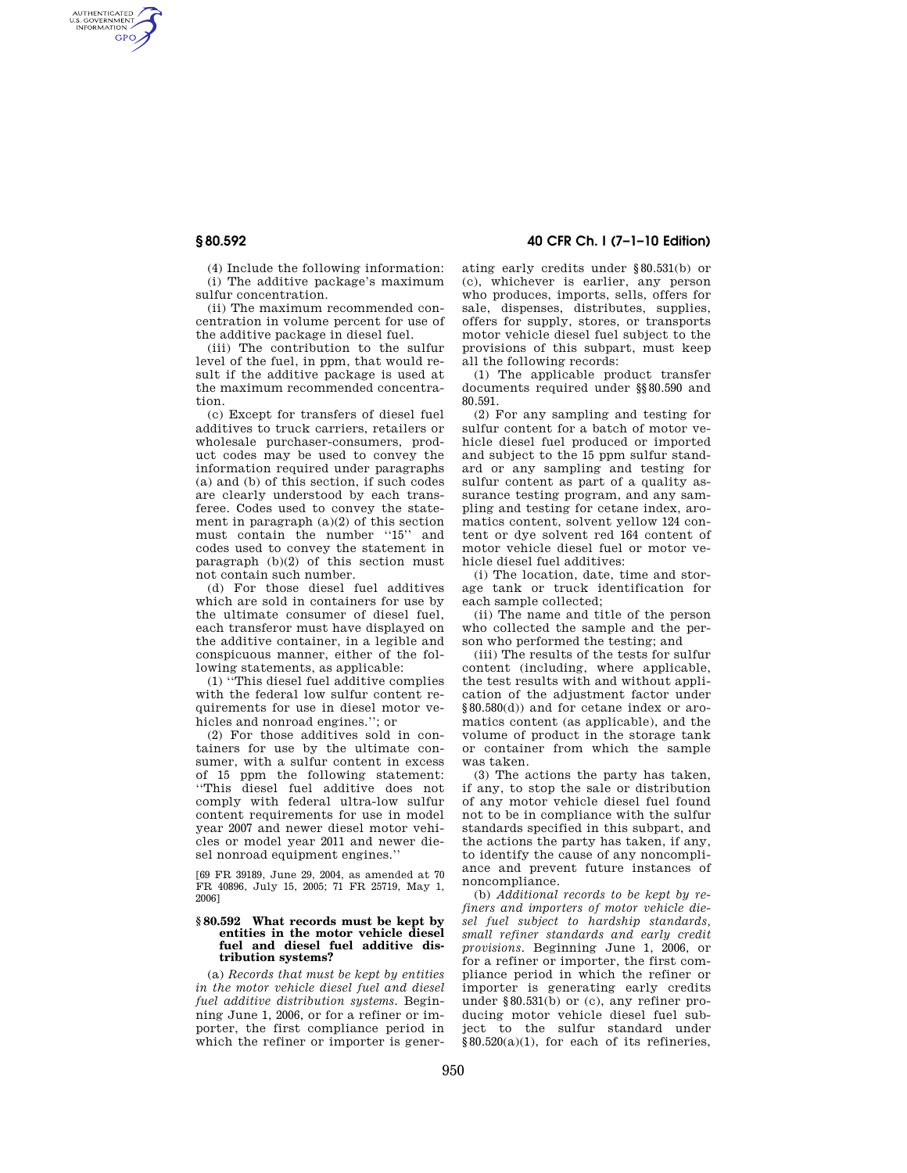AUTHENTICATED<br>U.S. GOVERNMENT<br>INFORMATION **GPO** 

> (4) Include the following information: (i) The additive package's maximum sulfur concentration.

> (ii) The maximum recommended concentration in volume percent for use of the additive package in diesel fuel.

> (iii) The contribution to the sulfur level of the fuel, in ppm, that would result if the additive package is used at the maximum recommended concentration.

> (c) Except for transfers of diesel fuel additives to truck carriers, retailers or wholesale purchaser-consumers, product codes may be used to convey the information required under paragraphs (a) and (b) of this section, if such codes are clearly understood by each transferee. Codes used to convey the statement in paragraph  $(a)(2)$  of this section must contain the number ''15'' and codes used to convey the statement in paragraph (b)(2) of this section must not contain such number.

> (d) For those diesel fuel additives which are sold in containers for use by the ultimate consumer of diesel fuel, each transferor must have displayed on the additive container, in a legible and conspicuous manner, either of the following statements, as applicable:

> (1) ''This diesel fuel additive complies with the federal low sulfur content requirements for use in diesel motor vehicles and nonroad engines.''; or

> (2) For those additives sold in containers for use by the ultimate consumer, with a sulfur content in excess of 15 ppm the following statement: ''This diesel fuel additive does not comply with federal ultra-low sulfur content requirements for use in model year 2007 and newer diesel motor vehicles or model year 2011 and newer diesel nonroad equipment engines.''

> [69 FR 39189, June 29, 2004, as amended at 70 FR 40896, July 15, 2005; 71 FR 25719, May 1, 2006]

## **§ 80.592 What records must be kept by entities in the motor vehicle diesel fuel and diesel fuel additive distribution systems?**

(a) *Records that must be kept by entities in the motor vehicle diesel fuel and diesel fuel additive distribution systems.* Beginning June 1, 2006, or for a refiner or importer, the first compliance period in which the refiner or importer is gener-

# **§ 80.592 40 CFR Ch. I (7–1–10 Edition)**

ating early credits under §80.531(b) or (c), whichever is earlier, any person who produces, imports, sells, offers for sale, dispenses, distributes, supplies, offers for supply, stores, or transports motor vehicle diesel fuel subject to the provisions of this subpart, must keep all the following records:

(1) The applicable product transfer documents required under §§80.590 and 80.591.

(2) For any sampling and testing for sulfur content for a batch of motor vehicle diesel fuel produced or imported and subject to the 15 ppm sulfur standard or any sampling and testing for sulfur content as part of a quality assurance testing program, and any sampling and testing for cetane index, aromatics content, solvent yellow 124 content or dye solvent red 164 content of motor vehicle diesel fuel or motor vehicle diesel fuel additives:

(i) The location, date, time and storage tank or truck identification for each sample collected;

(ii) The name and title of the person who collected the sample and the person who performed the testing; and

(iii) The results of the tests for sulfur content (including, where applicable, the test results with and without application of the adjustment factor under §80.580(d)) and for cetane index or aromatics content (as applicable), and the volume of product in the storage tank or container from which the sample was taken.

(3) The actions the party has taken, if any, to stop the sale or distribution of any motor vehicle diesel fuel found not to be in compliance with the sulfur standards specified in this subpart, and the actions the party has taken, if any, to identify the cause of any noncompliance and prevent future instances of noncompliance.

(b) *Additional records to be kept by refiners and importers of motor vehicle diesel fuel subject to hardship standards, small refiner standards and early credit provisions.* Beginning June 1, 2006, or for a refiner or importer, the first compliance period in which the refiner or importer is generating early credits under §80.531(b) or (c), any refiner producing motor vehicle diesel fuel subject to the sulfur standard under  $§80.520(a)(1)$ , for each of its refineries,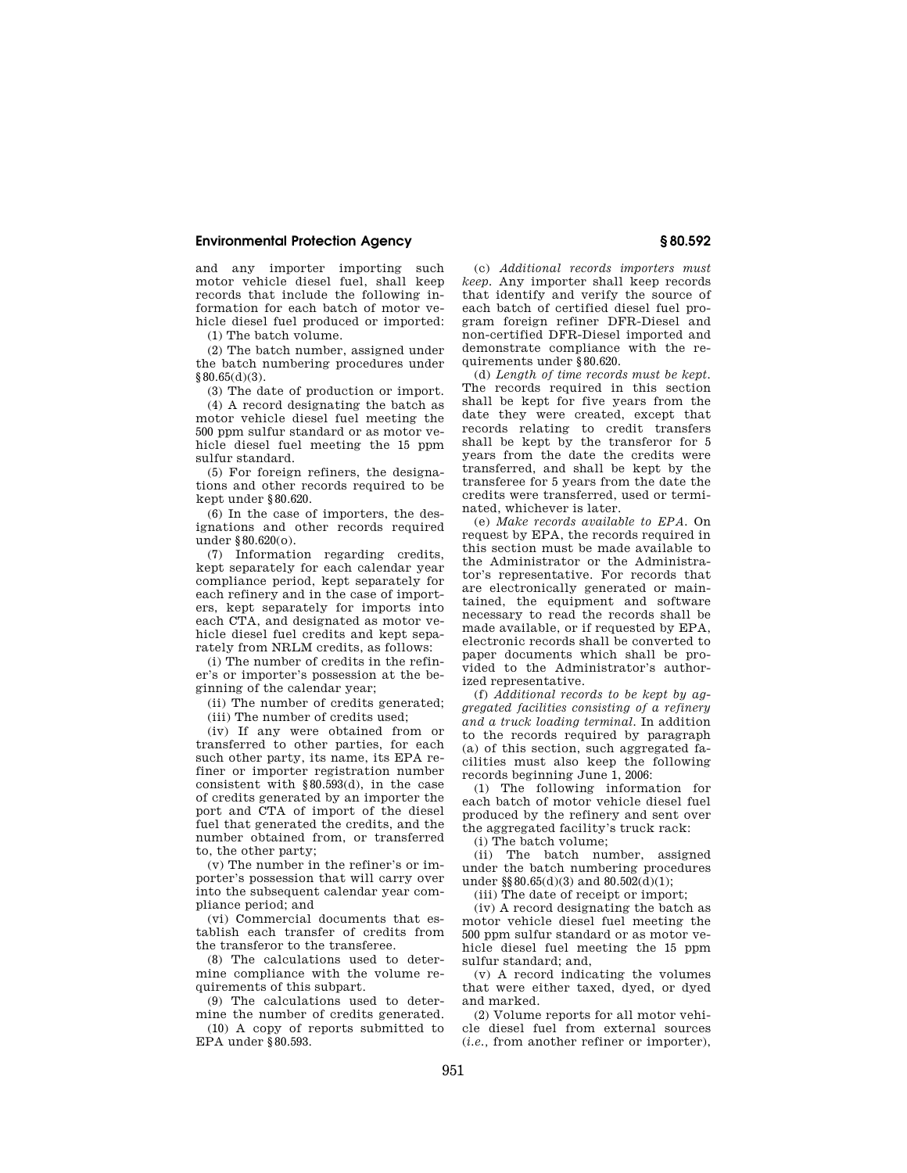## **Environmental Protection Agency § 80.592**

and any importer importing such motor vehicle diesel fuel, shall keep records that include the following information for each batch of motor vehicle diesel fuel produced or imported:

(1) The batch volume.

(2) The batch number, assigned under the batch numbering procedures under §80.65(d)(3).

(3) The date of production or import.

(4) A record designating the batch as motor vehicle diesel fuel meeting the 500 ppm sulfur standard or as motor vehicle diesel fuel meeting the 15 ppm sulfur standard.

(5) For foreign refiners, the designations and other records required to be kept under §80.620.

(6) In the case of importers, the designations and other records required under §80.620(o).

(7) Information regarding credits, kept separately for each calendar year compliance period, kept separately for each refinery and in the case of importers, kept separately for imports into each CTA, and designated as motor vehicle diesel fuel credits and kept separately from NRLM credits, as follows:

(i) The number of credits in the refiner's or importer's possession at the beginning of the calendar year;

(ii) The number of credits generated;

(iii) The number of credits used;

(iv) If any were obtained from or transferred to other parties, for each such other party, its name, its EPA refiner or importer registration number consistent with §80.593(d), in the case of credits generated by an importer the port and CTA of import of the diesel fuel that generated the credits, and the number obtained from, or transferred to, the other party;

(v) The number in the refiner's or importer's possession that will carry over into the subsequent calendar year compliance period; and

(vi) Commercial documents that establish each transfer of credits from the transferor to the transferee.

(8) The calculations used to determine compliance with the volume requirements of this subpart.

(9) The calculations used to determine the number of credits generated. (10) A copy of reports submitted to EPA under §80.593.

(c) *Additional records importers must keep.* Any importer shall keep records that identify and verify the source of each batch of certified diesel fuel program foreign refiner DFR-Diesel and non-certified DFR-Diesel imported and demonstrate compliance with the requirements under §80.620.

(d) *Length of time records must be kept.*  The records required in this section shall be kept for five years from the date they were created, except that records relating to credit transfers shall be kept by the transferor for 5 years from the date the credits were transferred, and shall be kept by the transferee for 5 years from the date the credits were transferred, used or terminated, whichever is later.

(e) *Make records available to EPA.* On request by EPA, the records required in this section must be made available to the Administrator or the Administrator's representative. For records that are electronically generated or maintained, the equipment and software necessary to read the records shall be made available, or if requested by EPA. electronic records shall be converted to paper documents which shall be provided to the Administrator's authorized representative.

(f) *Additional records to be kept by aggregated facilities consisting of a refinery and a truck loading terminal.* In addition to the records required by paragraph (a) of this section, such aggregated facilities must also keep the following records beginning June 1, 2006:

(1) The following information for each batch of motor vehicle diesel fuel produced by the refinery and sent over the aggregated facility's truck rack:

(i) The batch volume;

(ii) The batch number, assigned under the batch numbering procedures under  $\S 80.65(d)(3)$  and  $80.502(d)(1)$ ;

(iii) The date of receipt or import;

(iv) A record designating the batch as motor vehicle diesel fuel meeting the 500 ppm sulfur standard or as motor vehicle diesel fuel meeting the 15 ppm sulfur standard; and,

(v) A record indicating the volumes that were either taxed, dyed, or dyed and marked.

(2) Volume reports for all motor vehicle diesel fuel from external sources (*i.e.,* from another refiner or importer),